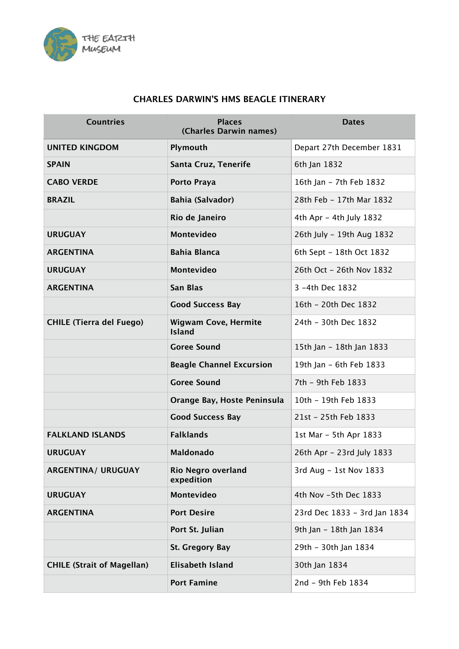

## **CHARLES DARWIN'S HMS BEAGLE ITINERARY**

| <b>Countries</b>                  | <b>Places</b><br>(Charles Darwin names)      | <b>Dates</b>                 |
|-----------------------------------|----------------------------------------------|------------------------------|
| <b>UNITED KINGDOM</b>             | Plymouth                                     | Depart 27th December 1831    |
| <b>SPAIN</b>                      | Santa Cruz, Tenerife                         | 6th Jan 1832                 |
| <b>CABO VERDE</b>                 | Porto Praya                                  | 16th Jan - 7th Feb 1832      |
| <b>BRAZIL</b>                     | Bahia (Salvador)                             | 28th Feb - 17th Mar 1832     |
|                                   | Rio de Janeiro                               | 4th Apr - 4th July 1832      |
| <b>URUGUAY</b>                    | <b>Montevideo</b>                            | 26th July - 19th Aug 1832    |
| <b>ARGENTINA</b>                  | <b>Bahia Blanca</b>                          | 6th Sept - 18th Oct 1832     |
| <b>URUGUAY</b>                    | Montevideo                                   | 26th Oct - 26th Nov 1832     |
| <b>ARGENTINA</b>                  | <b>San Blas</b>                              | 3 -4th Dec 1832              |
|                                   | <b>Good Success Bay</b>                      | 16th - 20th Dec 1832         |
| <b>CHILE (Tierra del Fuego)</b>   | <b>Wigwam Cove, Hermite</b><br><b>Island</b> | 24th - 30th Dec 1832         |
|                                   | <b>Goree Sound</b>                           | 15th Jan - 18th Jan 1833     |
|                                   | <b>Beagle Channel Excursion</b>              | 19th Jan - 6th Feb 1833      |
|                                   | <b>Goree Sound</b>                           | 7th - 9th Feb 1833           |
|                                   | Orange Bay, Hoste Peninsula                  | 10th - 19th Feb 1833         |
|                                   | <b>Good Success Bay</b>                      | 21st - 25th Feb 1833         |
| <b>FALKLAND ISLANDS</b>           | <b>Falklands</b>                             | 1st Mar - 5th Apr 1833       |
| <b>URUGUAY</b>                    | <b>Maldonado</b>                             | 26th Apr - 23rd July 1833    |
| <b>ARGENTINA/ URUGUAY</b>         | <b>Rio Negro overland</b><br>expedition      | 3rd Aug - 1st Nov 1833       |
| <b>URUGUAY</b>                    | Montevideo                                   | 4th Nov -5th Dec 1833        |
| <b>ARGENTINA</b>                  | <b>Port Desire</b>                           | 23rd Dec 1833 - 3rd Jan 1834 |
|                                   | Port St. Julian                              | 9th Jan - 18th Jan 1834      |
|                                   | St. Gregory Bay                              | 29th - 30th Jan 1834         |
| <b>CHILE (Strait of Magellan)</b> | <b>Elisabeth Island</b>                      | 30th Jan 1834                |
|                                   | <b>Port Famine</b>                           | 2nd - 9th Feb 1834           |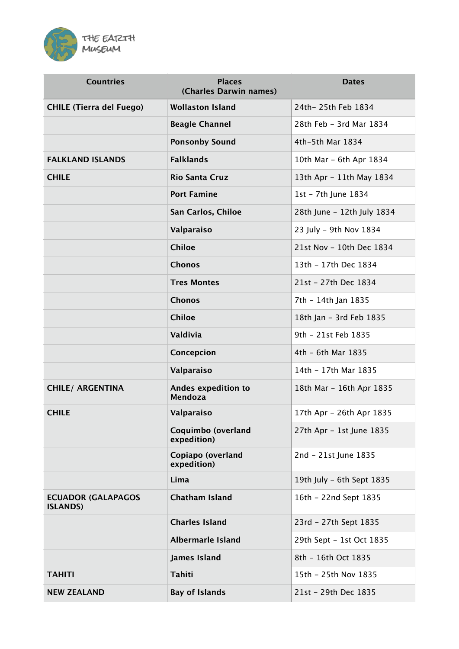

| <b>Countries</b>                             | <b>Places</b><br>(Charles Darwin names) | <b>Dates</b>               |
|----------------------------------------------|-----------------------------------------|----------------------------|
| <b>CHILE (Tierra del Fuego)</b>              | <b>Wollaston Island</b>                 | 24th-25th Feb 1834         |
|                                              | <b>Beagle Channel</b>                   | 28th Feb - 3rd Mar 1834    |
|                                              | <b>Ponsonby Sound</b>                   | 4th-5th Mar 1834           |
| <b>FALKLAND ISLANDS</b>                      | <b>Falklands</b>                        | 10th Mar - 6th Apr 1834    |
| <b>CHILE</b>                                 | <b>Rio Santa Cruz</b>                   | 13th Apr - 11th May 1834   |
|                                              | <b>Port Famine</b>                      | 1st - 7th June 1834        |
|                                              | San Carlos, Chiloe                      | 28th June - 12th July 1834 |
|                                              | Valparaiso                              | 23 July - 9th Nov 1834     |
|                                              | <b>Chiloe</b>                           | 21st Nov - 10th Dec 1834   |
|                                              | <b>Chonos</b>                           | 13th - 17th Dec 1834       |
|                                              | <b>Tres Montes</b>                      | 21st - 27th Dec 1834       |
|                                              | <b>Chonos</b>                           | 7th - 14th Jan 1835        |
|                                              | <b>Chiloe</b>                           | 18th Jan - 3rd Feb 1835    |
|                                              | Valdivia                                | 9th - 21st Feb 1835        |
|                                              | Concepcion                              | 4th - 6th Mar 1835         |
|                                              | Valparaiso                              | 14th - 17th Mar 1835       |
| <b>CHILE/ ARGENTINA</b>                      | Andes expedition to<br>Mendoza          | 18th Mar - 16th Apr 1835   |
| <b>CHILE</b>                                 | Valparaiso                              | 17th Apr - 26th Apr 1835   |
|                                              | Coquimbo (overland<br>expedition)       | 27th Apr - 1st June 1835   |
|                                              | Copiapo (overland<br>expedition)        | 2nd - 21st June 1835       |
|                                              | Lima                                    | 19th July - 6th Sept 1835  |
| <b>ECUADOR (GALAPAGOS</b><br><b>ISLANDS)</b> | <b>Chatham Island</b>                   | 16th - 22nd Sept 1835      |
|                                              | <b>Charles Island</b>                   | 23rd - 27th Sept 1835      |
|                                              | <b>Albermarle Island</b>                | 29th Sept - 1st Oct 1835   |
|                                              | <b>James Island</b>                     | 8th - 16th Oct 1835        |
| <b>TAHITI</b>                                | <b>Tahiti</b>                           | 15th - 25th Nov 1835       |
| <b>NEW ZEALAND</b>                           | <b>Bay of Islands</b>                   | 21st - 29th Dec 1835       |